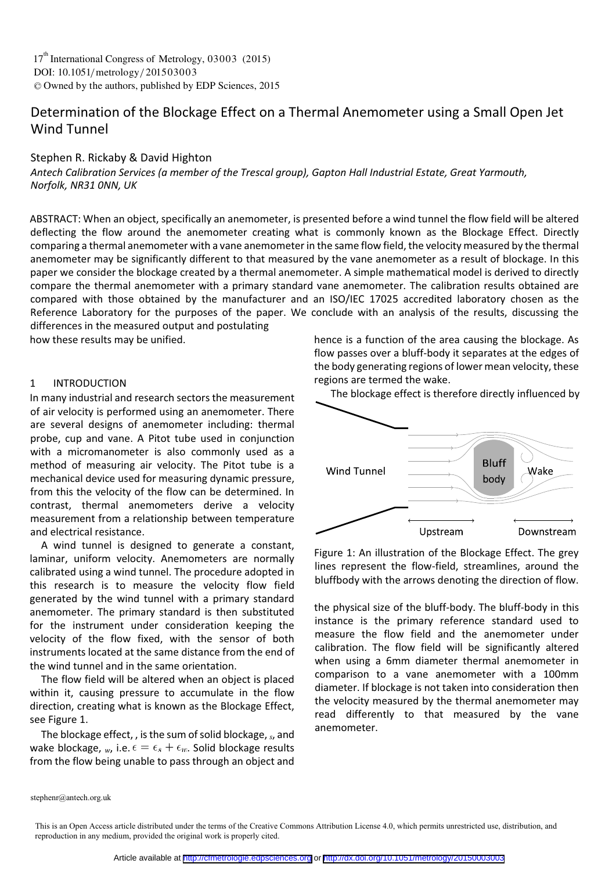DOI: 10.1051/metrology/201503003 -<sup>C</sup> Owned by the authors, published by EDP Sciences, 2015 17<sup>th</sup> International Congress of Metrology, 03003 (2015)

# Determination of the Blockage Effect on a Thermal Anemometer using a Small Open Jet Wind Tunnel

## Stephen R. Rickaby & David Highton

*Antech Calibration Services (a member of the Trescal group), Gapton Hall Industrial Estate, Great Yarmouth, Norfolk, NR31 0NN, UK*

ABSTRACT: When an object, specifically an anemometer, is presented before a wind tunnel the flow field will be altered deflecting the flow around the anemometer creating what is commonly known as the Blockage Effect. Directly comparing a thermal anemometer with a vane anemometer in the same flow field, the velocity measured by the thermal anemometer may be significantly different to that measured by the vane anemometer as a result of blockage. In this paper we consider the blockage created by a thermal anemometer. A simple mathematical model is derived to directly compare the thermal anemometer with a primary standard vane anemometer. The calibration results obtained are compared with those obtained by the manufacturer and an ISO/IEC 17025 accredited laboratory chosen as the Reference Laboratory for the purposes of the paper. We conclude with an analysis of the results, discussing the differences in the measured output and postulating

how these results may be unified.

#### 1 INTRODUCTION

In many industrial and research sectors the measurement of air velocity is performed using an anemometer. There are several designs of anemometer including: thermal probe, cup and vane. A Pitot tube used in conjunction with a micromanometer is also commonly used as a method of measuring air velocity. The Pitot tube is a mechanical device used for measuring dynamic pressure, from this the velocity of the flow can be determined. In contrast, thermal anemometers derive a velocity measurement from a relationship between temperature and electrical resistance.

A wind tunnel is designed to generate a constant, laminar, uniform velocity. Anemometers are normally calibrated using a wind tunnel. The procedure adopted in this research is to measure the velocity flow field generated by the wind tunnel with a primary standard anemometer. The primary standard is then substituted for the instrument under consideration keeping the velocity of the flow fixed, with the sensor of both instruments located at the same distance from the end of the wind tunnel and in the same orientation.

The flow field will be altered when an object is placed within it, causing pressure to accumulate in the flow direction, creating what is known as the Blockage Effect, see Figure 1.

The blockage effect, , is the sum of solid blockage, *s*, and wake blockage,  $_w$ , i.e.  $\epsilon = \epsilon_s + \epsilon_w$ . Solid blockage results from the flow being unable to pass through an object and

hence is a function of the area causing the blockage. As flow passes over a bluff-body it separates at the edges of the body generating regions of lower mean velocity, these regions are termed the wake.



Figure 1: An illustration of the Blockage Effect. The grey lines represent the flow-field, streamlines, around the bluffbody with the arrows denoting the direction of flow.

the physical size of the bluff-body. The bluff-body in this instance is the primary reference standard used to measure the flow field and the anemometer under calibration. The flow field will be significantly altered when using a 6mm diameter thermal anemometer in comparison to a vane anemometer with a 100mm diameter. If blockage is not taken into consideration then the velocity measured by the thermal anemometer may read differently to that measured by the vane anemometer.

stephenr@antech.org.uk

This is an Open Access article distributed under the terms of the Creative Commons Attribution License 4.0, which permits unrestricted use, distribution, and reproduction in any medium, provided the original work is properly cited.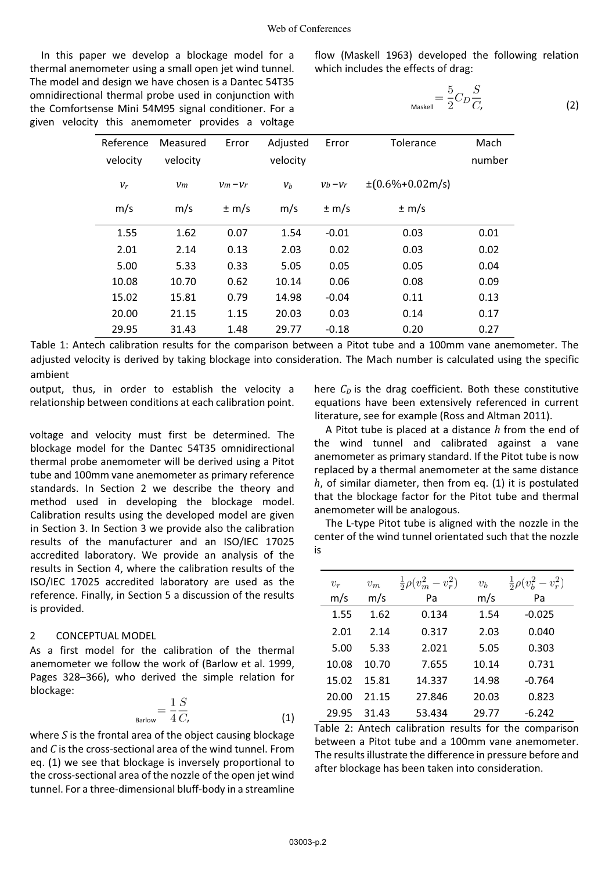In this paper we develop a blockage model for a thermal anemometer using a small open jet wind tunnel. The model and design we have chosen is a Dantec 54T35 omnidirectional thermal probe used in conjunction with the Comfortsense Mini 54M95 signal conditioner. For a given velocity this anemometer provides a voltage

flow (Maskell 1963) developed the following relation which includes the effects of drag:

$$
L_{\text{Maskell}} = \frac{5}{2} C_D \frac{S}{C}, \tag{2}
$$

| Reference<br>velocity | Measured<br>velocity | Error     | Adjusted<br>velocity | Error     | Tolerance                       | Mach<br>number |
|-----------------------|----------------------|-----------|----------------------|-----------|---------------------------------|----------------|
| $v_r$                 | Vm                   | $Vm - Vr$ | $v_b$                | $Vb - Vr$ | $\pm (0.6\% + 0.02 \text{m/s})$ |                |
| m/s                   | m/s                  | $\pm$ m/s | m/s                  | $\pm$ m/s | $\pm$ m/s                       |                |
| 1.55                  | 1.62                 | 0.07      | 1.54                 | $-0.01$   | 0.03                            | 0.01           |
| 2.01                  | 2.14                 | 0.13      | 2.03                 | 0.02      | 0.03                            | 0.02           |
| 5.00                  | 5.33                 | 0.33      | 5.05                 | 0.05      | 0.05                            | 0.04           |
| 10.08                 | 10.70                | 0.62      | 10.14                | 0.06      | 0.08                            | 0.09           |
| 15.02                 | 15.81                | 0.79      | 14.98                | $-0.04$   | 0.11                            | 0.13           |
| 20.00                 | 21.15                | 1.15      | 20.03                | 0.03      | 0.14                            | 0.17           |
| 29.95                 | 31.43                | 1.48      | 29.77                | $-0.18$   | 0.20                            | 0.27           |

Table 1: Antech calibration results for the comparison between a Pitot tube and a 100mm vane anemometer. The adjusted velocity is derived by taking blockage into consideration. The Mach number is calculated using the specific ambient

output, thus, in order to establish the velocity a relationship between conditions at each calibration point.

voltage and velocity must first be determined. The blockage model for the Dantec 54T35 omnidirectional thermal probe anemometer will be derived using a Pitot tube and 100mm vane anemometer as primary reference standards. In Section 2 we describe the theory and method used in developing the blockage model. Calibration results using the developed model are given in Section 3. In Section 3 we provide also the calibration results of the manufacturer and an ISO/IEC 17025 accredited laboratory. We provide an analysis of the results in Section 4, where the calibration results of the ISO/IEC 17025 accredited laboratory are used as the reference. Finally, in Section 5 a discussion of the results is provided.

#### 2 CONCEPTUAL MODEL

As a first model for the calibration of the thermal anemometer we follow the work of (Barlow et al. 1999, Pages 328–366), who derived the simple relation for blockage:

$$
B_{\text{Barlow}} = \frac{1}{4} \frac{S}{C}, \tag{1}
$$

where *S* is the frontal area of the object causing blockage and *C* is the cross-sectional area of the wind tunnel. From eq. (1) we see that blockage is inversely proportional to the cross-sectional area of the nozzle of the open jet wind tunnel. For a three-dimensional bluff-body in a streamline

here  $C_D$  is the drag coefficient. Both these constitutive equations have been extensively referenced in current literature, see for example (Ross and Altman 2011).

A Pitot tube is placed at a distance *h* from the end of the wind tunnel and calibrated against a vane anemometer as primary standard. If the Pitot tube is now replaced by a thermal anemometer at the same distance *h*, of similar diameter, then from eq. (1) it is postulated that the blockage factor for the Pitot tube and thermal anemometer will be analogous.

The L-type Pitot tube is aligned with the nozzle in the center of the wind tunnel orientated such that the nozzle is

| $v_r$ | $v_m$ | $rac{1}{2}\rho(v_m^2 - v_r^2)$ | $v_b$ | $rac{1}{2}\rho(v_b^2-v_r^2)$ |  |  |
|-------|-------|--------------------------------|-------|------------------------------|--|--|
| m/s   | m/s   | Pa                             | m/s   | Pa                           |  |  |
| 1.55  | 1.62  | 0.134                          | 1.54  | $-0.025$                     |  |  |
| 2.01  | 2.14  | 0.317                          | 2.03  | 0.040                        |  |  |
| 5.00  | 5.33  | 2.021                          | 5.05  | 0.303                        |  |  |
| 10.08 | 10.70 | 7.655                          | 10.14 | 0.731                        |  |  |
| 15.02 | 15.81 | 14.337                         | 14.98 | $-0.764$                     |  |  |
| 20.00 | 21.15 | 27.846                         | 20.03 | 0.823                        |  |  |
| 29.95 | 31.43 | 53.434                         | 29.77 | $-6.242$                     |  |  |

Table 2: Antech calibration results for the comparison between a Pitot tube and a 100mm vane anemometer. The results illustrate the difference in pressure before and after blockage has been taken into consideration.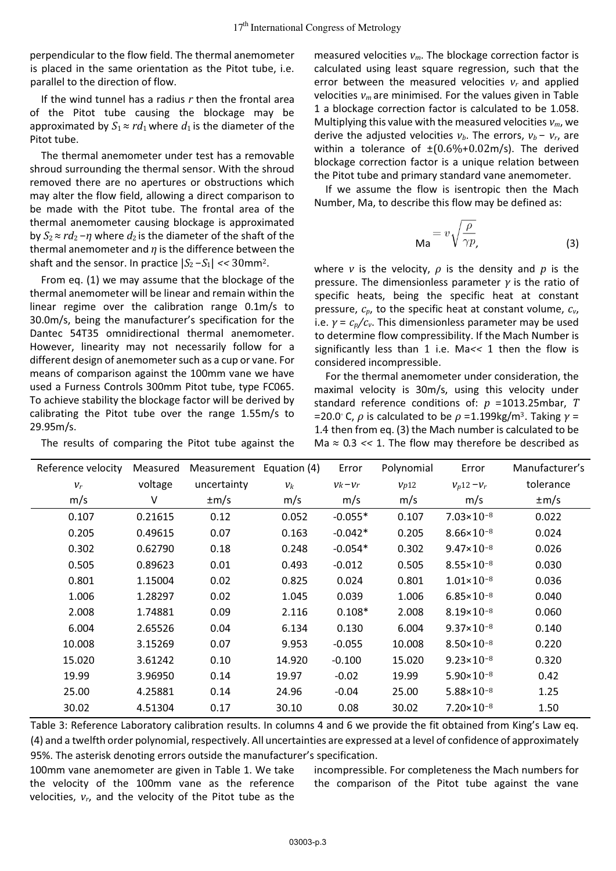perpendicular to the flow field. The thermal anemometer is placed in the same orientation as the Pitot tube, i.e. parallel to the direction of flow.

If the wind tunnel has a radius *r* then the frontal area of the Pitot tube causing the blockage may be approximated by  $S_1 \approx r d_1$  where  $d_1$  is the diameter of the Pitot tube.

The thermal anemometer under test has a removable shroud surrounding the thermal sensor. With the shroud removed there are no apertures or obstructions which may alter the flow field, allowing a direct comparison to be made with the Pitot tube. The frontal area of the thermal anemometer causing blockage is approximated by  $S_2 \approx r d_2 - \eta$  where  $d_2$  is the diameter of the shaft of the thermal anemometer and *η* is the difference between the shaft and the sensor. In practice  $|S_2 - S_1| < 30$  mm<sup>2</sup>.

From eq. (1) we may assume that the blockage of the thermal anemometer will be linear and remain within the linear regime over the calibration range 0.1m/s to 30.0m/s, being the manufacturer's specification for the Dantec 54T35 omnidirectional thermal anemometer. However, linearity may not necessarily follow for a different design of anemometer such as a cup or vane. For means of comparison against the 100mm vane we have used a Furness Controls 300mm Pitot tube, type FC065. To achieve stability the blockage factor will be derived by calibrating the Pitot tube over the range 1.55m/s to 29.95m/s.

The results of comparing the Pitot tube against the

measured velocities *vm*. The blockage correction factor is calculated using least square regression, such that the error between the measured velocities *vr* and applied velocities  $v_m$  are minimised. For the values given in Table 1 a blockage correction factor is calculated to be 1.058. Multiplying this value with the measured velocities *vm*, we derive the adjusted velocities  $v_b$ . The errors,  $v_b - v_r$ , are within a tolerance of ±(0*.*6%+0*.*02m/s). The derived blockage correction factor is a unique relation between the Pitot tube and primary standard vane anemometer.

If we assume the flow is isentropic then the Mach Number, Ma, to describe this flow may be defined as:

$$
Ma = v\sqrt{\frac{\rho}{\gamma p}},
$$
 (3)

where *v* is the velocity, *ρ* is the density and *p* is the pressure. The dimensionless parameter *γ* is the ratio of specific heats, being the specific heat at constant pressure, *cp*, to the specific heat at constant volume, *cv*, i.e.  $\gamma = c_p/c_v$ . This dimensionless parameter may be used to determine flow compressibility. If the Mach Number is significantly less than 1 i.e. Ma*<<* 1 then the flow is considered incompressible.

For the thermal anemometer under consideration, the maximal velocity is 30m/s, using this velocity under standard reference conditions of: *p* =1013.25mbar, *T*  =20.0◦ C, *ρ* is calculated to be *ρ* =1.199kg/m<sup>3</sup>. Taking *γ* = 1*.*4 then from eq. (3) the Mach number is calculated to be Ma ≈ 0*.*3 *<<* 1. The flow may therefore be described as

| Measured |             |        | Error                    | Polynomial | Error                 | Manufacturer's |
|----------|-------------|--------|--------------------------|------------|-----------------------|----------------|
| voltage  | uncertainty | $v_k$  | $Vk - Vr$                | Vp12       | $V_p12-V_r$           | tolerance      |
| V        | $\pm m/s$   | m/s    | m/s                      | m/s        | m/s                   | $\pm m/s$      |
| 0.21615  | 0.12        | 0.052  | $-0.055*$                | 0.107      | $7.03 \times 10^{-8}$ | 0.022          |
| 0.49615  | 0.07        | 0.163  | $-0.042*$                | 0.205      | $8.66 \times 10^{-8}$ | 0.024          |
| 0.62790  | 0.18        | 0.248  | $-0.054*$                | 0.302      | $9.47 \times 10^{-8}$ | 0.026          |
| 0.89623  | 0.01        | 0.493  | $-0.012$                 | 0.505      | $8.55 \times 10^{-8}$ | 0.030          |
| 1.15004  | 0.02        | 0.825  | 0.024                    | 0.801      | $1.01 \times 10^{-8}$ | 0.036          |
| 1.28297  | 0.02        | 1.045  | 0.039                    | 1.006      | $6.85 \times 10^{-8}$ | 0.040          |
| 1.74881  | 0.09        | 2.116  | $0.108*$                 | 2.008      | $8.19 \times 10^{-8}$ | 0.060          |
| 2.65526  | 0.04        | 6.134  | 0.130                    | 6.004      | $9.37 \times 10^{-8}$ | 0.140          |
| 3.15269  | 0.07        | 9.953  | $-0.055$                 | 10.008     | $8.50 \times 10^{-8}$ | 0.220          |
| 3.61242  | 0.10        | 14.920 | $-0.100$                 | 15.020     | $9.23 \times 10^{-8}$ | 0.320          |
| 3.96950  | 0.14        | 19.97  | $-0.02$                  | 19.99      | $5.90 \times 10^{-8}$ | 0.42           |
| 4.25881  | 0.14        | 24.96  | $-0.04$                  | 25.00      | $5.88 \times 10^{-8}$ | 1.25           |
| 4.51304  | 0.17        | 30.10  | 0.08                     | 30.02      | $7.20 \times 10^{-8}$ | 1.50           |
|          |             |        | Measurement Equation (4) |            |                       |                |

Table 3: Reference Laboratory calibration results. In columns 4 and 6 we provide the fit obtained from King's Law eq. (4) and a twelfth order polynomial, respectively. All uncertainties are expressed at a level of confidence of approximately 95%. The asterisk denoting errors outside the manufacturer's specification.

100mm vane anemometer are given in Table 1. We take the velocity of the 100mm vane as the reference velocities, *vr*, and the velocity of the Pitot tube as the

incompressible. For completeness the Mach numbers for the comparison of the Pitot tube against the vane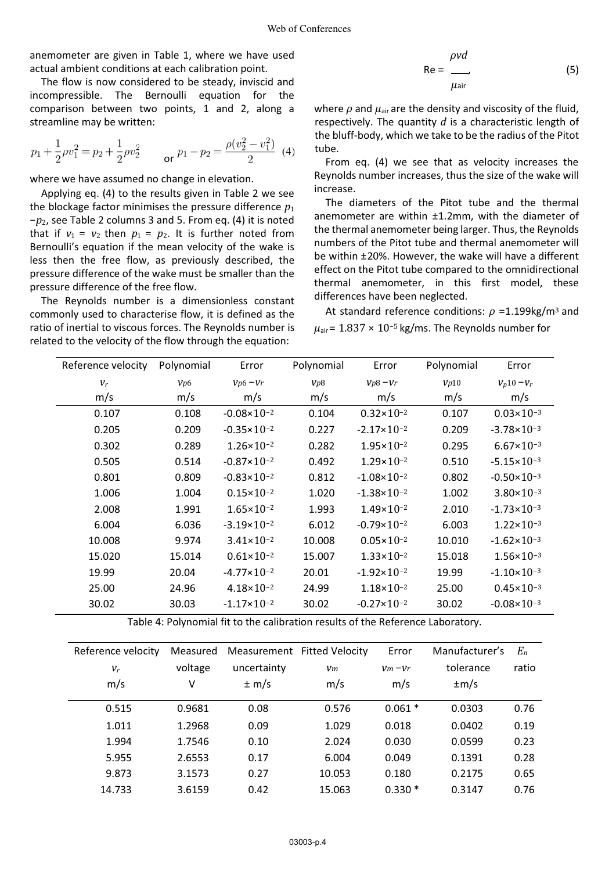anemometer are given in Table 1, where we have used actual ambient conditions at each calibration point.

The flow is now considered to be steady, inviscid and incompressible. The Bernoulli equation for the comparison between two points, 1 and 2, along a streamline may be written:

$$
p_1 + \frac{1}{2}\rho v_1^2 = p_2 + \frac{1}{2}\rho v_2^2 \qquad \text{or } p_1 - p_2 = \frac{\rho(v_2^2 - v_1^2)}{2} \tag{4}
$$

where we have assumed no change in elevation.

Applying eq. (4) to the results given in Table 2 we see the blockage factor minimises the pressure difference *p*<sup>1</sup> −*p*2, see Table 2 columns 3 and 5. From eq. (4) it is noted that if  $v_1 = v_2$  then  $p_1 = p_2$ . It is further noted from Bernoulli's equation if the mean velocity of the wake is less then the free flow, as previously described, the pressure difference of the wake must be smaller than the pressure difference of the free flow.

The Reynolds number is a dimensionless constant commonly used to characterise flow, it is defined as the ratio of inertial to viscous forces. The Reynolds number is related to the velocity of the flow through the equation:

$$
Re = \frac{\rho v d}{\mu_{air}}
$$
 (5)

where  $\rho$  and  $\mu_{\text{air}}$  are the density and viscosity of the fluid, respectively. The quantity *d* is a characteristic length of the bluff-body, which we take to be the radius of the Pitot tube.

From eq. (4) we see that as velocity increases the Reynolds number increases, thus the size of the wake will increase.

The diameters of the Pitot tube and the thermal anemometer are within ±1.2mm, with the diameter of the thermal anemometer being larger. Thus, the Reynolds numbers of the Pitot tube and thermal anemometer will be within ±20%. However, the wake will have a different effect on the Pitot tube compared to the omnidirectional thermal anemometer, in this first model, these differences have been neglected.

At standard reference conditions:  $ρ = 1.199 kg/m<sup>3</sup>$  and  $\mu_{\text{air}}$  = 1.837 × 10<sup>-5</sup> kg/ms. The Reynolds number for

| Reference velocity | Polynomial | Error                  | Polynomial | Error                  | Polynomial | Error                  |
|--------------------|------------|------------------------|------------|------------------------|------------|------------------------|
| $v_r$              | Vp6        | $Vp6-Vr$               | Vp8        | $Vp8 - Vr$             | Vp10       | $V_p10-V_r$            |
| m/s                | m/s        | m/s                    | m/s        | m/s                    | m/s        | m/s                    |
| 0.107              | 0.108      | $-0.08 \times 10^{-2}$ | 0.104      | $0.32 \times 10^{-2}$  | 0.107      | $0.03 \times 10^{-3}$  |
| 0.205              | 0.209      | $-0.35 \times 10^{-2}$ | 0.227      | $-2.17 \times 10^{-2}$ | 0.209      | $-3.78 \times 10^{-3}$ |
| 0.302              | 0.289      | $1.26 \times 10^{-2}$  | 0.282      | $1.95 \times 10^{-2}$  | 0.295      | $6.67 \times 10^{-3}$  |
| 0.505              | 0.514      | $-0.87 \times 10^{-2}$ | 0.492      | $1.29 \times 10^{-2}$  | 0.510      | $-5.15 \times 10^{-3}$ |
| 0.801              | 0.809      | $-0.83 \times 10^{-2}$ | 0.812      | $-1.08 \times 10^{-2}$ | 0.802      | $-0.50 \times 10^{-3}$ |
| 1.006              | 1.004      | $0.15 \times 10^{-2}$  | 1.020      | $-1.38 \times 10^{-2}$ | 1.002      | $3.80 \times 10^{-3}$  |
| 2.008              | 1.991      | $1.65 \times 10^{-2}$  | 1.993      | $1.49 \times 10^{-2}$  | 2.010      | $-1.73 \times 10^{-3}$ |
| 6.004              | 6.036      | $-3.19 \times 10^{-2}$ | 6.012      | $-0.79 \times 10^{-2}$ | 6.003      | $1.22 \times 10^{-3}$  |
| 10.008             | 9.974      | $3.41 \times 10^{-2}$  | 10.008     | $0.05 \times 10^{-2}$  | 10.010     | $-1.62 \times 10^{-3}$ |
| 15.020             | 15.014     | $0.61 \times 10^{-2}$  | 15.007     | $1.33 \times 10^{-2}$  | 15.018     | $1.56 \times 10^{-3}$  |
| 19.99              | 20.04      | $-4.77 \times 10^{-2}$ | 20.01      | $-1.92 \times 10^{-2}$ | 19.99      | $-1.10 \times 10^{-3}$ |
| 25.00              | 24.96      | $4.18 \times 10^{-2}$  | 24.99      | $1.18 \times 10^{-2}$  | 25.00      | $0.45 \times 10^{-3}$  |
| 30.02              | 30.03      | $-1.17 \times 10^{-2}$ | 30.02      | $-0.27 \times 10^{-2}$ | 30.02      | $-0.08 \times 10^{-3}$ |

Table 4: Polynomial fit to the calibration results of the Reference Laboratory.

| Reference velocity | Measured |             | Measurement Fitted Velocity | Error     | Manufacturer's | $E_n$ |
|--------------------|----------|-------------|-----------------------------|-----------|----------------|-------|
| $V_r$              | voltage  | uncertainty | Vm                          | $Vm - Vr$ | tolerance      | ratio |
| m/s                | v        | $\pm$ m/s   | m/s                         | m/s       | $\pm m/s$      |       |
| 0.515              | 0.9681   | 0.08        | 0.576                       | $0.061*$  | 0.0303         | 0.76  |
| 1.011              | 1.2968   | 0.09        | 1.029                       | 0.018     | 0.0402         | 0.19  |
| 1.994              | 1.7546   | 0.10        | 2.024                       | 0.030     | 0.0599         | 0.23  |
| 5.955              | 2.6553   | 0.17        | 6.004                       | 0.049     | 0.1391         | 0.28  |
| 9.873              | 3.1573   | 0.27        | 10.053                      | 0.180     | 0.2175         | 0.65  |
| 14.733             | 3.6159   | 0.42        | 15.063                      | $0.330*$  | 0.3147         | 0.76  |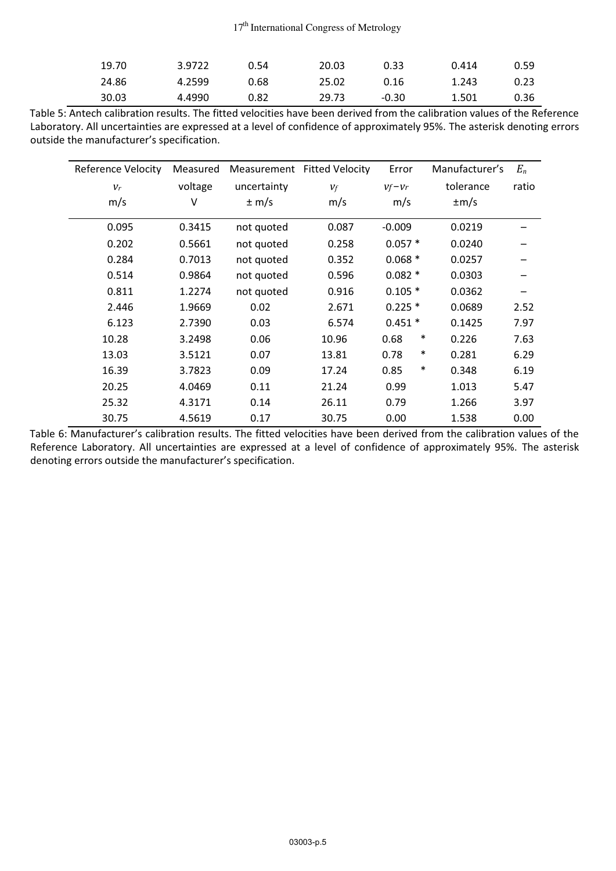| 19.70 | 3.9722 | 0.54 | 20.03 | 0.33  | 0.414 | 0.59 |
|-------|--------|------|-------|-------|-------|------|
| 24.86 | 4.2599 | 0.68 | 25.02 | 0.16  | 1.243 | 0.23 |
| 30.03 | 4.4990 | 0.82 | 29.73 | -0.30 | 1.501 | 0.36 |

Table 5: Antech calibration results. The fitted velocities have been derived from the calibration values of the Reference Laboratory. All uncertainties are expressed at a level of confidence of approximately 95%. The asterisk denoting errors outside the manufacturer's specification.

| Reference Velocity | Measured |             | Measurement Fitted Velocity | Error          | Manufacturer's | $E_n$ |
|--------------------|----------|-------------|-----------------------------|----------------|----------------|-------|
| $v_r$              | voltage  | uncertainty | $V_f$                       | $Vf-Vr$        | tolerance      | ratio |
| m/s                | V        | $\pm$ m/s   | m/s                         | m/s            | $\pm m/s$      |       |
| 0.095              | 0.3415   | not quoted  | 0.087                       | $-0.009$       | 0.0219         |       |
| 0.202              | 0.5661   | not quoted  | 0.258                       | $0.057*$       | 0.0240         |       |
| 0.284              | 0.7013   | not quoted  | 0.352                       | $0.068*$       | 0.0257         |       |
| 0.514              | 0.9864   | not quoted  | 0.596                       | $0.082*$       | 0.0303         |       |
| 0.811              | 1.2274   | not quoted  | 0.916                       | $0.105*$       | 0.0362         |       |
| 2.446              | 1.9669   | 0.02        | 2.671                       | $0.225*$       | 0.0689         | 2.52  |
| 6.123              | 2.7390   | 0.03        | 6.574                       | $0.451*$       | 0.1425         | 7.97  |
| 10.28              | 3.2498   | 0.06        | 10.96                       | ∗<br>0.68      | 0.226          | 7.63  |
| 13.03              | 3.5121   | 0.07        | 13.81                       | $\ast$<br>0.78 | 0.281          | 6.29  |
| 16.39              | 3.7823   | 0.09        | 17.24                       | $\ast$<br>0.85 | 0.348          | 6.19  |
| 20.25              | 4.0469   | 0.11        | 21.24                       | 0.99           | 1.013          | 5.47  |
| 25.32              | 4.3171   | 0.14        | 26.11                       | 0.79           | 1.266          | 3.97  |
| 30.75              | 4.5619   | 0.17        | 30.75                       | 0.00           | 1.538          | 0.00  |

Table 6: Manufacturer's calibration results. The fitted velocities have been derived from the calibration values of the Reference Laboratory. All uncertainties are expressed at a level of confidence of approximately 95%. The asterisk denoting errors outside the manufacturer's specification.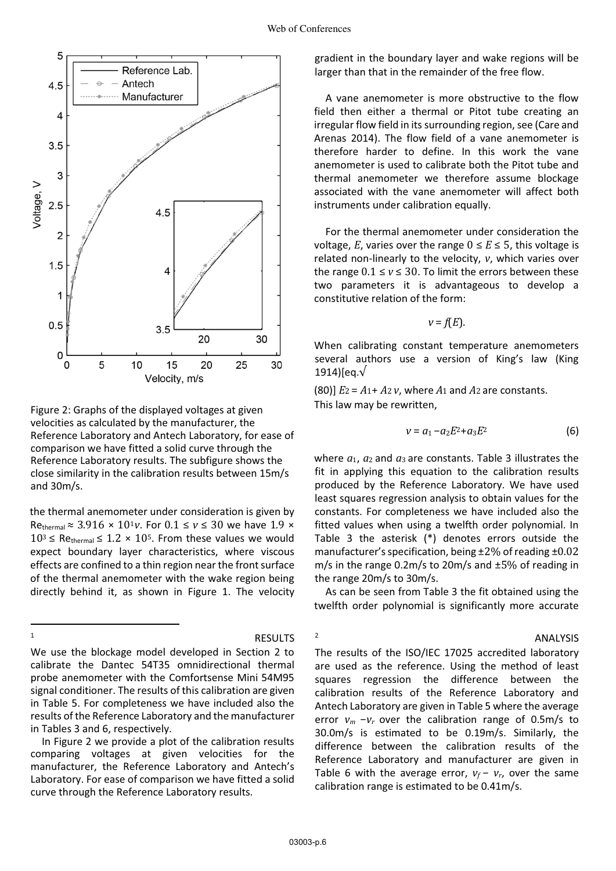

Figure 2: Graphs of the displayed voltages at given velocities as calculated by the manufacturer, the Reference Laboratory and Antech Laboratory, for ease of comparison we have fitted a solid curve through the Reference Laboratory results. The subfigure shows the close similarity in the calibration results between 15m/s and 30m/s.

the thermal anemometer under consideration is given by Rethermal ≈ 3.916 × 10<sup>1</sup>V. For  $0.1 \le v \le 30$  we have  $1.9 \times$  $10^3 \leq$  Rethermal  $\leq 1.2 \times 10^5$ . From these values we would expect boundary layer characteristics, where viscous effects are confined to a thin region near the front surface of the thermal anemometer with the wake region being directly behind it, as shown in Figure 1. The velocity

 $\overline{\phantom{a}}$ 

<sup>1</sup> RESULTS

2

We use the blockage model developed in Section 2 to calibrate the Dantec 54T35 omnidirectional thermal probe anemometer with the Comfortsense Mini 54M95 signal conditioner. The results of this calibration are given in Table 5. For completeness we have included also the results of the Reference Laboratory and the manufacturer in Tables 3 and 6, respectively.

In Figure 2 we provide a plot of the calibration results comparing voltages at given velocities for the manufacturer, the Reference Laboratory and Antech's Laboratory. For ease of comparison we have fitted a solid curve through the Reference Laboratory results.

gradient in the boundary layer and wake regions will be larger than that in the remainder of the free flow.

A vane anemometer is more obstructive to the flow field then either a thermal or Pitot tube creating an irregular flow field in its surrounding region, see (Care and Arenas 2014). The flow field of a vane anemometer is therefore harder to define. In this work the vane anemometer is used to calibrate both the Pitot tube and thermal anemometer we therefore assume blockage associated with the vane anemometer will affect both instruments under calibration equally.

For the thermal anemometer under consideration the voltage, *E*, varies over the range  $0 \le E \le 5$ , this voltage is related non-linearly to the velocity, *v*, which varies over the range  $0.1 \le v \le 30$ . To limit the errors between these two parameters it is advantageous to develop a constitutive relation of the form:

$$
v = f(E).
$$

When calibrating constant temperature anemometers several authors use a version of King's law (King 1914)[eq.√

(80)] *E*2 = *A*1+ *A*2 *v*, where *A*1 and *A*2 are constants. This law may be rewritten,

$$
v = a_1 - a_2 E^2 + a_3 E^2 \tag{6}
$$

ANALYSIS

where  $a_1$ ,  $a_2$  and  $a_3$  are constants. Table 3 illustrates the fit in applying this equation to the calibration results produced by the Reference Laboratory. We have used least squares regression analysis to obtain values for the constants. For completeness we have included also the fitted values when using a twelfth order polynomial. In Table 3 the asterisk (\*) denotes errors outside the manufacturer's specification, being ±2% of reading ±0*.*02 m/s in the range 0.2m/s to 20m/s and ±5% of reading in the range 20m/s to 30m/s.

As can be seen from Table 3 the fit obtained using the twelfth order polynomial is significantly more accurate

The results of the ISO/IEC 17025 accredited laboratory are used as the reference. Using the method of least squares regression the difference between the calibration results of the Reference Laboratory and Antech Laboratory are given in Table 5 where the average error *vm* −*vr* over the calibration range of 0.5m/s to 30.0m/s is estimated to be 0.19m/s. Similarly, the difference between the calibration results of the Reference Laboratory and manufacturer are given in Table 6 with the average error,  $v_f - v_r$ , over the same calibration range is estimated to be 0.41m/s.